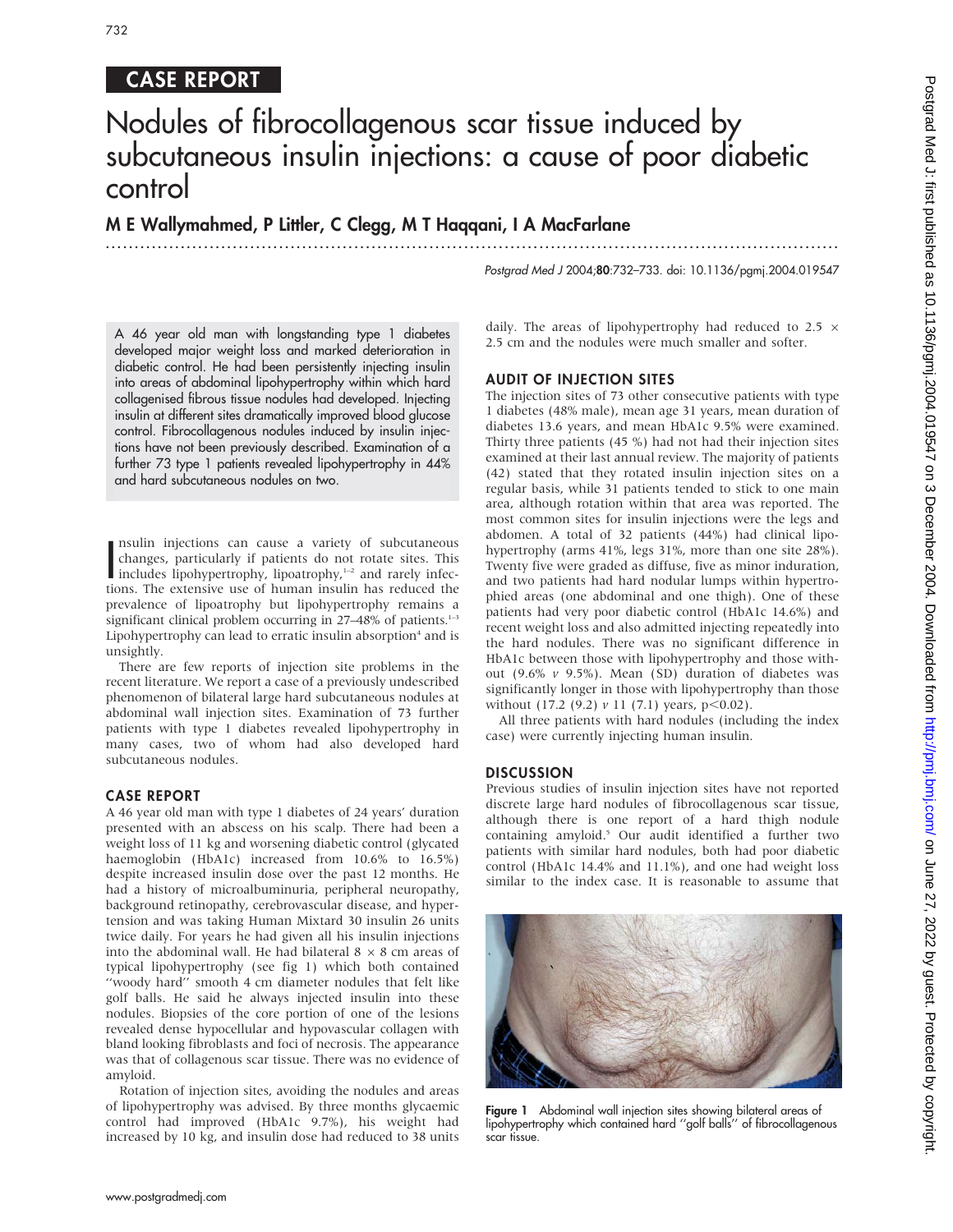# 732

# CASE REPORT

# Nodules of fibrocollagenous scar tissue induced by subcutaneous insulin injections: a cause of poor diabetic control

...............................................................................................................................

M E Wallymahmed, P Littler, C Clegg, M T Haqqani, I A MacFarlane

Postgrad Med J 2004;80:732-733. doi: 10.1136/pgmj.2004.019547

A 46 year old man with longstanding type 1 diabetes developed major weight loss and marked deterioration in diabetic control. He had been persistently injecting insulin into areas of abdominal lipohypertrophy within which hard collagenised fibrous tissue nodules had developed. Injecting insulin at different sites dramatically improved blood glucose control. Fibrocollagenous nodules induced by insulin injections have not been previously described. Examination of a further 73 type 1 patients revealed lipohypertrophy in 44% and hard subcutaneous nodules on two.

Insulin injections can cause a variety of subcutaneous<br>changes, particularly if patients do not rotate sites. This<br>includes lipohypertrophy, lipoatrophy,<sup>1–2</sup> and rarely infec-<br>tions. The extensive use of burnan insulin ha nsulin injections can cause a variety of subcutaneous changes, particularly if patients do not rotate sites. This tions. The extensive use of human insulin has reduced the prevalence of lipoatrophy but lipohypertrophy remains a significant clinical problem occurring in  $27-48\%$  of patients.<sup>1-3</sup> Lipohypertrophy can lead to erratic insulin absorption $4$  and is unsightly.

There are few reports of injection site problems in the recent literature. We report a case of a previously undescribed phenomenon of bilateral large hard subcutaneous nodules at abdominal wall injection sites. Examination of 73 further patients with type 1 diabetes revealed lipohypertrophy in many cases, two of whom had also developed hard subcutaneous nodules.

#### CASE REPORT

A 46 year old man with type 1 diabetes of 24 years' duration presented with an abscess on his scalp. There had been a weight loss of 11 kg and worsening diabetic control (glycated haemoglobin (HbA1c) increased from 10.6% to 16.5%) despite increased insulin dose over the past 12 months. He had a history of microalbuminuria, peripheral neuropathy, background retinopathy, cerebrovascular disease, and hypertension and was taking Human Mixtard 30 insulin 26 units twice daily. For years he had given all his insulin injections into the abdominal wall. He had bilateral  $8 \times 8$  cm areas of typical lipohypertrophy (see fig 1) which both contained ''woody hard'' smooth 4 cm diameter nodules that felt like golf balls. He said he always injected insulin into these nodules. Biopsies of the core portion of one of the lesions revealed dense hypocellular and hypovascular collagen with bland looking fibroblasts and foci of necrosis. The appearance was that of collagenous scar tissue. There was no evidence of amyloid.

Rotation of injection sites, avoiding the nodules and areas of lipohypertrophy was advised. By three months glycaemic control had improved (HbA1c 9.7%), his weight had increased by 10 kg, and insulin dose had reduced to 38 units daily. The areas of lipohypertrophy had reduced to 2.5  $\times$ 2.5 cm and the nodules were much smaller and softer.

## AUDIT OF INJECTION SITES

The injection sites of 73 other consecutive patients with type 1 diabetes (48% male), mean age 31 years, mean duration of diabetes 13.6 years, and mean HbA1c 9.5% were examined. Thirty three patients (45 %) had not had their injection sites examined at their last annual review. The majority of patients (42) stated that they rotated insulin injection sites on a regular basis, while 31 patients tended to stick to one main area, although rotation within that area was reported. The most common sites for insulin injections were the legs and abdomen. A total of 32 patients (44%) had clinical lipohypertrophy (arms 41%, legs 31%, more than one site 28%). Twenty five were graded as diffuse, five as minor induration, and two patients had hard nodular lumps within hypertrophied areas (one abdominal and one thigh). One of these patients had very poor diabetic control (HbA1c 14.6%) and recent weight loss and also admitted injecting repeatedly into the hard nodules. There was no significant difference in HbA1c between those with lipohypertrophy and those without (9.6%  $v$  9.5%). Mean (SD) duration of diabetes was significantly longer in those with lipohypertrophy than those without (17.2 (9.2)  $\nu$  11 (7.1) years, p<0.02).

All three patients with hard nodules (including the index case) were currently injecting human insulin.

### **DISCUSSION**

Previous studies of insulin injection sites have not reported discrete large hard nodules of fibrocollagenous scar tissue, although there is one report of a hard thigh nodule containing amyloid.<sup>5</sup> Our audit identified a further two patients with similar hard nodules, both had poor diabetic control (HbA1c 14.4% and 11.1%), and one had weight loss similar to the index case. It is reasonable to assume that



**Figure 1** Abdominal wall injection sites showing bilateral areas of lipohypertrophy which contained hard ''golf balls'' of fibrocollagenous scar tissue.